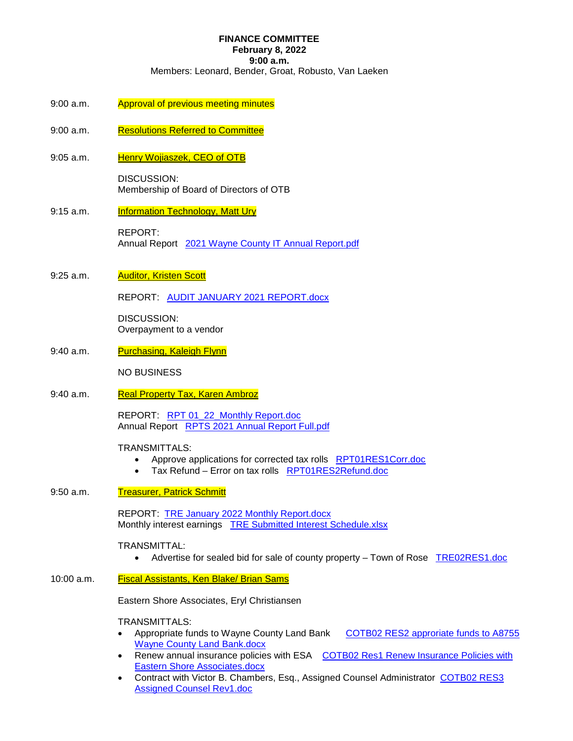# **FINANCE COMMITTEE**

**February 8, 2022** 

**9:00 a.m.** 

Members: Leonard, Bender, Groat, Robusto, Van Laeken

- 9:00 a.m. Approval of previous meeting minutes
- 9:00 a.m. Resolutions Referred to Committee
- 9:05 a.m. Henry Wojiaszek, CEO of OTB

DISCUSSION: Membership of Board of Directors of OTB

9:15 a.m. **Information Technology, Matt Ury** 

REPORT: Annual Report 2021 Wayne County IT Annual Report.pdf

9:25 a.m. **Auditor, Kristen Scott** 

REPORT: AUDIT JANUARY 2021 REPORT.docx

DISCUSSION: Overpayment to a vendor

9:40 a.m. Purchasing, Kaleigh Flynn

NO BUSINESS

9:40 a.m. Real Property Tax, Karen Ambroz

REPORT: RPT 01\_22\_Monthly Report.doc Annual Report RPTS 2021 Annual Report Full.pdf

### TRANSMITTALS:

- Approve applications for corrected tax rolls RPT01RES1Corr.doc
- Tax Refund Error on tax rolls RPT01RES2Refund.doc
- 9:50 a.m. Treasurer, Patrick Schmitt

REPORT: **TRE January 2022 Monthly Report.docx** Monthly interest earnings TRE Submitted Interest Schedule.xlsx

### TRANSMITTAL:

Advertise for sealed bid for sale of county property – Town of Rose TRE02RES1.doc

### 10:00 a.m. Fiscal Assistants, Ken Blake/ Brian Sams

Eastern Shore Associates, Eryl Christiansen

### TRANSMITTALS:

- Appropriate funds to Wayne County Land Bank COTB02 RES2 approriate funds to A8755 Wayne County Land Bank.docx
- Renew annual insurance policies with ESA COTB02 Res1 Renew Insurance Policies with Eastern Shore Associates.docx
- Contract with Victor B. Chambers, Esq., Assigned Counsel Administrator COTB02 RES3 Assigned Counsel Rev1.doc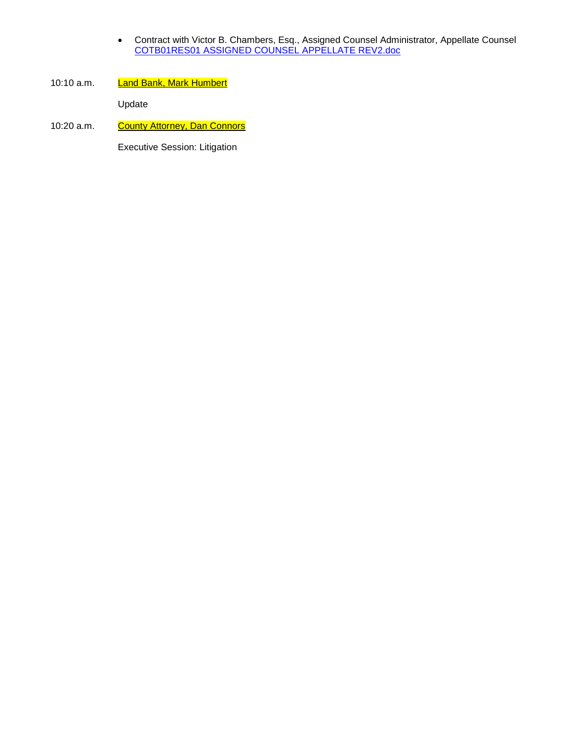- Contract with Victor B. Chambers, Esq., Assigned Counsel Administrator, Appellate Counsel COTB01RES01 ASSIGNED COUNSEL APPELLATE REV2.doc
- 10:10 a.m. Land Bank, Mark Humbert

Update

10:20 a.m. County Attorney, Dan Connors

Executive Session: Litigation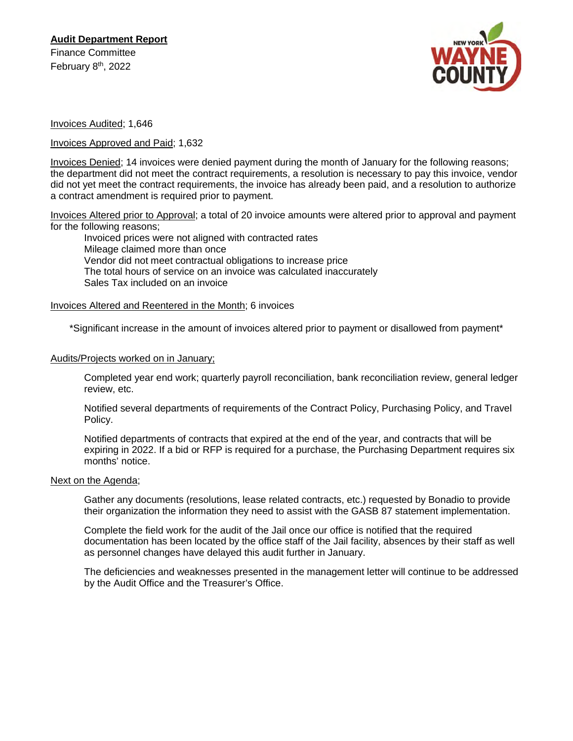

Invoices Audited; 1,646

Invoices Approved and Paid; 1,632

Invoices Denied; 14 invoices were denied payment during the month of January for the following reasons; the department did not meet the contract requirements, a resolution is necessary to pay this invoice, vendor did not yet meet the contract requirements, the invoice has already been paid, and a resolution to authorize a contract amendment is required prior to payment.

Invoices Altered prior to Approval; a total of 20 invoice amounts were altered prior to approval and payment for the following reasons;

Invoiced prices were not aligned with contracted rates Mileage claimed more than once Vendor did not meet contractual obligations to increase price The total hours of service on an invoice was calculated inaccurately Sales Tax included on an invoice

## Invoices Altered and Reentered in the Month; 6 invoices

\*Significant increase in the amount of invoices altered prior to payment or disallowed from payment\*

### Audits/Projects worked on in January;

Completed year end work; quarterly payroll reconciliation, bank reconciliation review, general ledger review, etc.

Notified several departments of requirements of the Contract Policy, Purchasing Policy, and Travel Policy.

Notified departments of contracts that expired at the end of the year, and contracts that will be expiring in 2022. If a bid or RFP is required for a purchase, the Purchasing Department requires six months' notice.

## Next on the Agenda;

Gather any documents (resolutions, lease related contracts, etc.) requested by Bonadio to provide their organization the information they need to assist with the GASB 87 statement implementation.

Complete the field work for the audit of the Jail once our office is notified that the required documentation has been located by the office staff of the Jail facility, absences by their staff as well as personnel changes have delayed this audit further in January.

The deficiencies and weaknesses presented in the management letter will continue to be addressed by the Audit Office and the Treasurer's Office.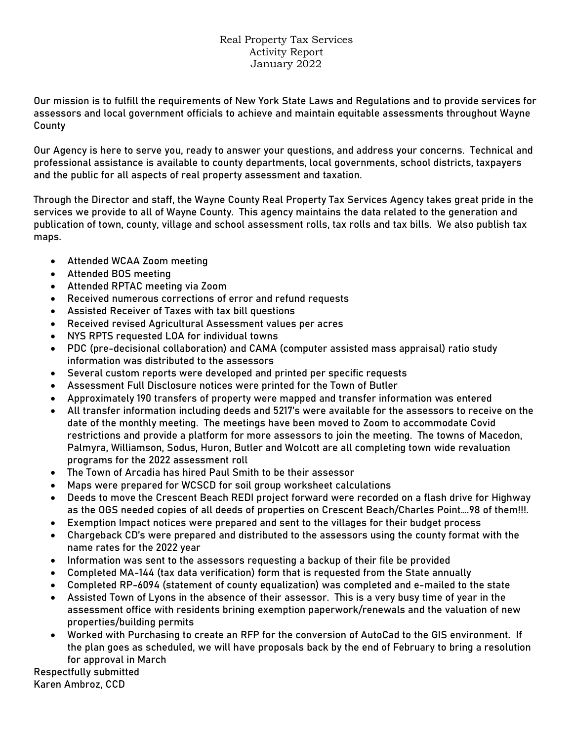# Real Property Tax Services Activity Report January 2022

Our mission is to fulfill the requirements of New York State Laws and Regulations and to provide services for assessors and local government officials to achieve and maintain equitable assessments throughout Wayne County

Our Agency is here to serve you, ready to answer your questions, and address your concerns. Technical and professional assistance is available to county departments, local governments, school districts, taxpayers and the public for all aspects of real property assessment and taxation.

Through the Director and staff, the Wayne County Real Property Tax Services Agency takes great pride in the services we provide to all of Wayne County. This agency maintains the data related to the generation and publication of town, county, village and school assessment rolls, tax rolls and tax bills. We also publish tax maps.

- Attended WCAA Zoom meeting
- Attended BOS meeting
- Attended RPTAC meeting via Zoom
- Received numerous corrections of error and refund requests
- Assisted Receiver of Taxes with tax bill questions
- Received revised Agricultural Assessment values per acres
- NYS RPTS requested LOA for individual towns
- PDC (pre-decisional collaboration) and CAMA (computer assisted mass appraisal) ratio study information was distributed to the assessors
- Several custom reports were developed and printed per specific requests
- Assessment Full Disclosure notices were printed for the Town of Butler
- Approximately 190 transfers of property were mapped and transfer information was entered
- All transfer information including deeds and 5217's were available for the assessors to receive on the date of the monthly meeting. The meetings have been moved to Zoom to accommodate Covid restrictions and provide a platform for more assessors to join the meeting. The towns of Macedon, Palmyra, Williamson, Sodus, Huron, Butler and Wolcott are all completing town wide revaluation programs for the 2022 assessment roll
- The Town of Arcadia has hired Paul Smith to be their assessor
- Maps were prepared for WCSCD for soil group worksheet calculations
- Deeds to move the Crescent Beach REDI project forward were recorded on a flash drive for Highway as the OGS needed copies of all deeds of properties on Crescent Beach/Charles Point….98 of them!!!.
- Exemption Impact notices were prepared and sent to the villages for their budget process
- Chargeback CD's were prepared and distributed to the assessors using the county format with the name rates for the 2022 year
- Information was sent to the assessors requesting a backup of their file be provided
- Completed MA-144 (tax data verification) form that is requested from the State annually
- Completed RP-6094 (statement of county equalization) was completed and e-mailed to the state
- Assisted Town of Lyons in the absence of their assessor. This is a very busy time of year in the assessment office with residents brining exemption paperwork/renewals and the valuation of new properties/building permits
- Worked with Purchasing to create an RFP for the conversion of AutoCad to the GIS environment. If the plan goes as scheduled, we will have proposals back by the end of February to bring a resolution for approval in March

Respectfully submitted Karen Ambroz, CCD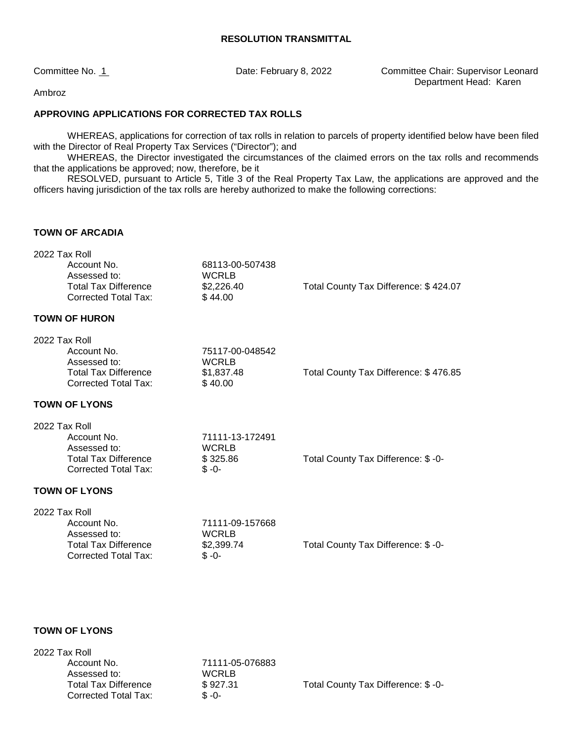Committee No. 1 **Date: February 8, 2022** Committee Chair: Supervisor Leonard Department Head: Karen

Ambroz

## **APPROVING APPLICATIONS FOR CORRECTED TAX ROLLS**

WHEREAS, applications for correction of tax rolls in relation to parcels of property identified below have been filed with the Director of Real Property Tax Services ("Director"); and

 WHEREAS, the Director investigated the circumstances of the claimed errors on the tax rolls and recommends that the applications be approved; now, therefore, be it

RESOLVED, pursuant to Article 5, Title 3 of the Real Property Tax Law, the applications are approved and the officers having jurisdiction of the tax rolls are hereby authorized to make the following corrections:

# **TOWN OF ARCADIA**

|               | 2022 Tax Roll                                       |                 |                                       |
|---------------|-----------------------------------------------------|-----------------|---------------------------------------|
|               | Account No.                                         | 68113-00-507438 |                                       |
|               | Assessed to:                                        | <b>WCRLB</b>    |                                       |
|               | <b>Total Tax Difference</b><br>Corrected Total Tax: | \$2,226.40      | Total County Tax Difference: \$424.07 |
|               |                                                     | \$44.00         |                                       |
|               | <b>TOWN OF HURON</b>                                |                 |                                       |
| 2022 Tax Roll |                                                     |                 |                                       |
|               | Account No.                                         | 75117-00-048542 |                                       |
|               | Assessed to:                                        | <b>WCRLB</b>    |                                       |
|               | <b>Total Tax Difference</b>                         | \$1,837.48      | Total County Tax Difference: \$476.85 |
|               | Corrected Total Tax:                                | \$40.00         |                                       |
|               | <b>TOWN OF LYONS</b>                                |                 |                                       |
| 2022 Tax Roll |                                                     |                 |                                       |
|               | Account No.                                         | 71111-13-172491 |                                       |
|               | Assessed to:                                        | <b>WCRLB</b>    |                                       |
|               |                                                     |                 |                                       |
|               | <b>Total Tax Difference</b>                         | \$325.86        | Total County Tax Difference: \$ -0-   |
|               | Corrected Total Tax:                                | $$ -0-$         |                                       |
|               | <b>TOWN OF LYONS</b>                                |                 |                                       |
|               |                                                     |                 |                                       |
| 2022 Tax Roll | Account No.                                         | 71111-09-157668 |                                       |
|               | Assessed to:                                        | <b>WCRLB</b>    |                                       |
|               | <b>Total Tax Difference</b>                         | \$2,399.74      | Total County Tax Difference: \$ -0-   |
|               | <b>Corrected Total Tax:</b>                         | $$ -0-$         |                                       |

### **TOWN OF LYONS**

| 2022 Tax Roll               |                 |                                    |
|-----------------------------|-----------------|------------------------------------|
| Account No.                 | 71111-05-076883 |                                    |
| Assessed to:                | <b>WCRLB</b>    |                                    |
| <b>Total Tax Difference</b> | \$927.31        | Total County Tax Difference: \$-0- |
| Corrected Total Tax:        | $$ -0-$         |                                    |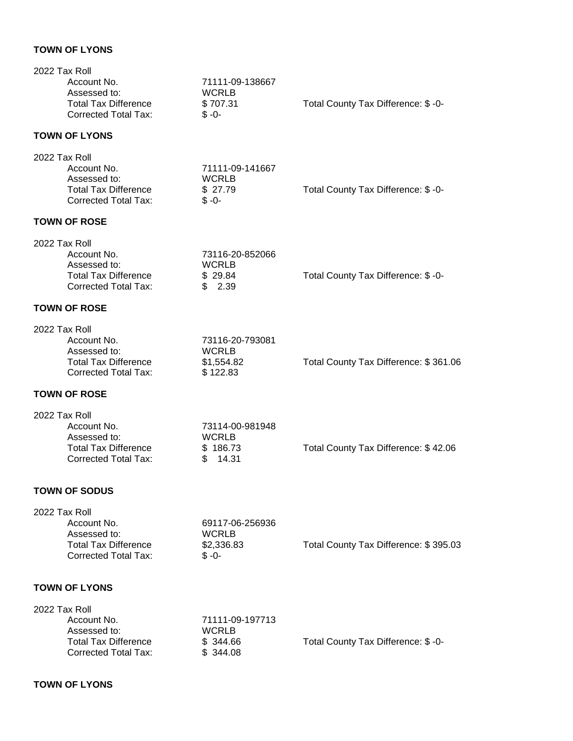## **TOWN OF LYONS**

| 2022 Tax Roll<br>Account No.<br>Assessed to:<br><b>Total Tax Difference</b><br><b>Corrected Total Tax:</b> | 71111-09-138667<br><b>WCRLB</b><br>\$707.31<br>$$ -0-$     | Total County Tax Difference: \$-0-    |
|------------------------------------------------------------------------------------------------------------|------------------------------------------------------------|---------------------------------------|
| <b>TOWN OF LYONS</b>                                                                                       |                                                            |                                       |
| 2022 Tax Roll<br>Account No.<br>Assessed to:<br><b>Total Tax Difference</b><br><b>Corrected Total Tax:</b> | 71111-09-141667<br><b>WCRLB</b><br>\$27.79<br>$$ -0-$      | Total County Tax Difference: \$-0-    |
| <b>TOWN OF ROSE</b>                                                                                        |                                                            |                                       |
| 2022 Tax Roll<br>Account No.<br>Assessed to:<br><b>Total Tax Difference</b><br><b>Corrected Total Tax:</b> | 73116-20-852066<br><b>WCRLB</b><br>\$29.84<br>\$2.39       | Total County Tax Difference: \$-0-    |
| <b>TOWN OF ROSE</b>                                                                                        |                                                            |                                       |
| 2022 Tax Roll<br>Account No.<br>Assessed to:<br><b>Total Tax Difference</b><br><b>Corrected Total Tax:</b> | 73116-20-793081<br><b>WCRLB</b><br>\$1,554.82<br>\$122.83  | Total County Tax Difference: \$361.06 |
| <b>TOWN OF ROSE</b>                                                                                        |                                                            |                                       |
| 2022 Tax Roll<br>Account No.<br>Assessed to:<br><b>Total Tax Difference</b><br><b>Corrected Total Tax:</b> | 73114-00-981948<br><b>WCRLB</b><br>\$186.73<br>\$<br>14.31 | Total County Tax Difference: \$42.06  |
| <b>TOWN OF SODUS</b>                                                                                       |                                                            |                                       |
| 2022 Tax Roll<br>Account No.<br>Assessed to:<br><b>Total Tax Difference</b><br><b>Corrected Total Tax:</b> | 69117-06-256936<br><b>WCRLB</b><br>\$2,336.83<br>$$ -0-$   | Total County Tax Difference: \$395.03 |
| <b>TOWN OF LYONS</b>                                                                                       |                                                            |                                       |
| 2022 Tax Roll<br>Account No.<br>Assessed to:<br><b>Total Tax Difference</b><br><b>Corrected Total Tax:</b> | 71111-09-197713<br><b>WCRLB</b><br>\$344.66<br>\$344.08    | Total County Tax Difference: \$ -0-   |
|                                                                                                            |                                                            |                                       |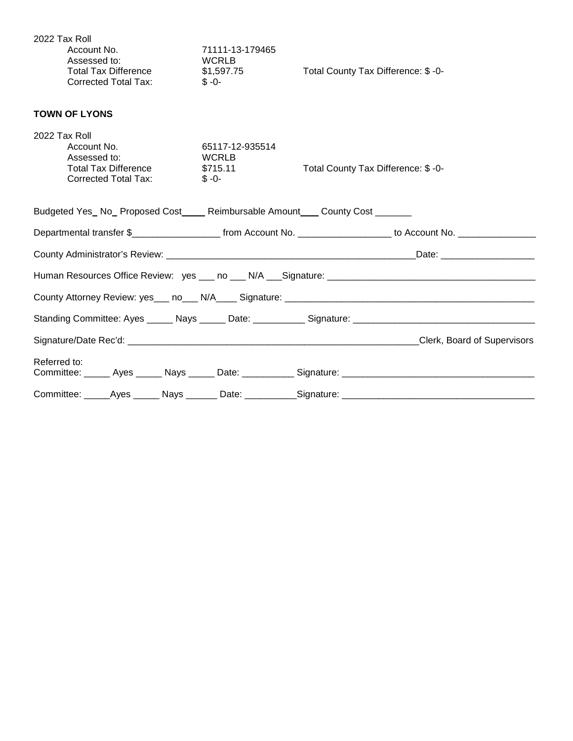| 2022 Tax Roll<br>Account No.<br>Assessed to:<br><b>Total Tax Difference</b><br><b>Corrected Total Tax:</b> | 71111-13-179465<br><b>WCRLB</b><br>\$1,597.75<br>$$ -0-$ | Total County Tax Difference: \$-0-                                                                              |
|------------------------------------------------------------------------------------------------------------|----------------------------------------------------------|-----------------------------------------------------------------------------------------------------------------|
| <b>TOWN OF LYONS</b>                                                                                       |                                                          |                                                                                                                 |
| 2022 Tax Roll<br>Account No.<br>Assessed to:<br><b>Total Tax Difference</b><br><b>Corrected Total Tax:</b> | 65117-12-935514<br><b>WCRLB</b><br>\$715.11<br>$$ -0-$   | Total County Tax Difference: \$ -0-                                                                             |
| Budgeted Yes_No_Proposed Cost____Reimbursable Amount___ County Cost _______                                |                                                          |                                                                                                                 |
|                                                                                                            |                                                          | Departmental transfer \$_______________________ from Account No. __________________ to Account No. ____________ |
|                                                                                                            |                                                          |                                                                                                                 |
|                                                                                                            |                                                          |                                                                                                                 |
|                                                                                                            |                                                          |                                                                                                                 |
|                                                                                                            |                                                          |                                                                                                                 |
|                                                                                                            |                                                          |                                                                                                                 |
| Referred to:                                                                                               |                                                          |                                                                                                                 |
|                                                                                                            |                                                          | Committee: Ayes Nays Date: Signature: National Assembly Property Agents Committee:                              |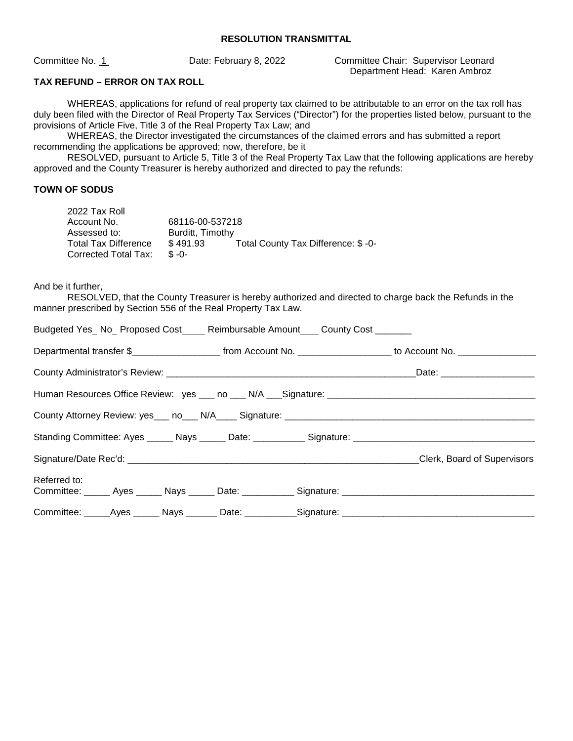Committee No. 1 Date: February 8, 2022 Committee Chair: Supervisor Leonard Department Head: Karen Ambroz

## **TAX REFUND – ERROR ON TAX ROLL**

WHEREAS, applications for refund of real property tax claimed to be attributable to an error on the tax roll has duly been filed with the Director of Real Property Tax Services ("Director") for the properties listed below, pursuant to the provisions of Article Five, Title 3 of the Real Property Tax Law; and

WHEREAS, the Director investigated the circumstances of the claimed errors and has submitted a report recommending the applications be approved; now, therefore, be it

RESOLVED, pursuant to Article 5, Title 3 of the Real Property Tax Law that the following applications are hereby approved and the County Treasurer is hereby authorized and directed to pay the refunds:

### **TOWN OF SODUS**

| 2022 Tax Roll               |                  |                                    |
|-----------------------------|------------------|------------------------------------|
| Account No.                 | 68116-00-537218  |                                    |
| Assessed to:                | Burditt, Timothy |                                    |
| <b>Total Tax Difference</b> | \$491.93         | Total County Tax Difference: \$-0- |
| Corrected Total Tax:        | $R - 0 -$        |                                    |

And be it further,

RESOLVED, that the County Treasurer is hereby authorized and directed to charge back the Refunds in the manner prescribed by Section 556 of the Real Property Tax Law.

|              |  | Budgeted Yes_No_Proposed Cost_____Reimbursable Amount____County Cost _______ |                                                                                                                       |
|--------------|--|------------------------------------------------------------------------------|-----------------------------------------------------------------------------------------------------------------------|
|              |  |                                                                              | Departmental transfer \$________________________ from Account No. ____________________ to Account No. _______________ |
|              |  |                                                                              |                                                                                                                       |
|              |  |                                                                              |                                                                                                                       |
|              |  |                                                                              |                                                                                                                       |
|              |  |                                                                              |                                                                                                                       |
|              |  |                                                                              | Clerk, Board of Supervisors                                                                                           |
| Referred to: |  |                                                                              | Committee: ______ Ayes ______ Nays ______ Date: ___________ Signature: _____________________________                  |
|              |  |                                                                              | Committee: _____Ayes ______ Nays _______ Date: ___________Signature: _______________________________                  |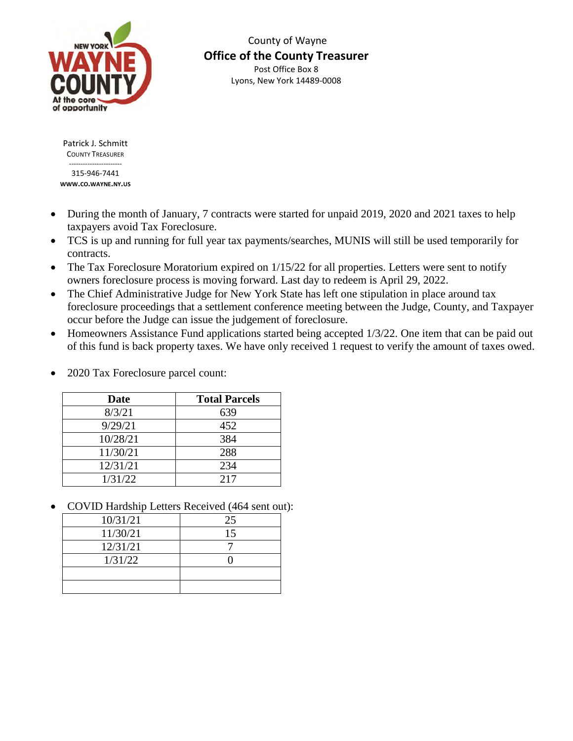

 County of Wayne **Office of the County Treasurer**  Post Office Box 8 Lyons, New York 14489-0008

Patrick J. Schmitt COUNTY TREASURER ----------------------- 315-946-7441

**WWW.CO.WAYNE.NY.US**

- During the month of January, 7 contracts were started for unpaid 2019, 2020 and 2021 taxes to help taxpayers avoid Tax Foreclosure.
- TCS is up and running for full year tax payments/searches, MUNIS will still be used temporarily for contracts.
- The Tax Foreclosure Moratorium expired on  $1/15/22$  for all properties. Letters were sent to notify owners foreclosure process is moving forward. Last day to redeem is April 29, 2022.
- The Chief Administrative Judge for New York State has left one stipulation in place around tax foreclosure proceedings that a settlement conference meeting between the Judge, County, and Taxpayer occur before the Judge can issue the judgement of foreclosure.
- Homeowners Assistance Fund applications started being accepted 1/3/22. One item that can be paid out of this fund is back property taxes. We have only received 1 request to verify the amount of taxes owed.

| <b>Date</b> | <b>Total Parcels</b> |
|-------------|----------------------|
| 8/3/21      | 639                  |
| 9/29/21     | 452                  |
| 10/28/21    | 384                  |
| 11/30/21    | 288                  |
| 12/31/21    | 234                  |
| 1/31/22     | 217                  |

• 2020 Tax Foreclosure parcel count:

COVID Hardship Letters Received (464 sent out):

| 10/31/21 | 25 |
|----------|----|
| 11/30/21 | 15 |
| 12/31/21 |    |
| 1/31/22  |    |
|          |    |
|          |    |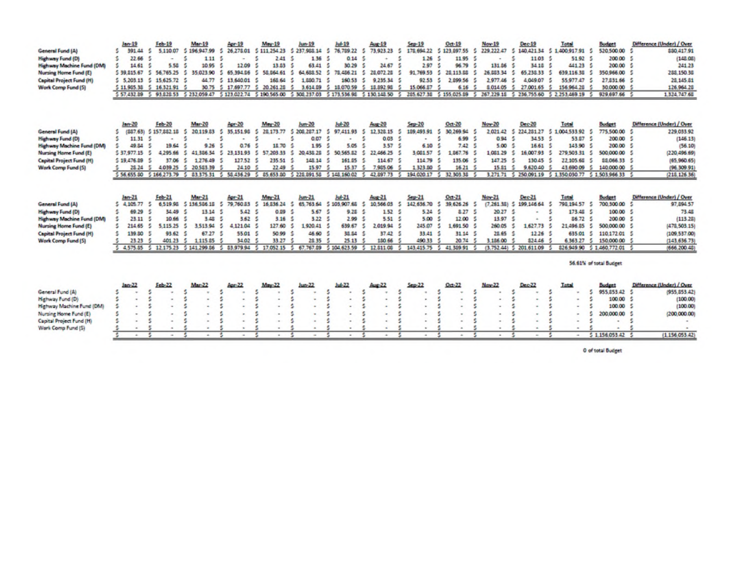|                                                                                                                                                                   | Jan-19                                                                    | Feb-19                                                                         | Mar-19                                                                                          | Apr-19                                                                                      | May-19                                                                                                                                                                                    | Jun-19                                                                                  | Jul-19                                                                | <b>Aug-19</b>                                                                                 | $Sep-19$                                                                         | $0d-19$                                                                                                                                           | Nov-19                                                                          | Dec-19                                                                                                    | Total                                                                                                                                                                       | <b>Budget</b>                                                                                       | Difference (Under) / Over                                                                                                     |
|-------------------------------------------------------------------------------------------------------------------------------------------------------------------|---------------------------------------------------------------------------|--------------------------------------------------------------------------------|-------------------------------------------------------------------------------------------------|---------------------------------------------------------------------------------------------|-------------------------------------------------------------------------------------------------------------------------------------------------------------------------------------------|-----------------------------------------------------------------------------------------|-----------------------------------------------------------------------|-----------------------------------------------------------------------------------------------|----------------------------------------------------------------------------------|---------------------------------------------------------------------------------------------------------------------------------------------------|---------------------------------------------------------------------------------|-----------------------------------------------------------------------------------------------------------|-----------------------------------------------------------------------------------------------------------------------------------------------------------------------------|-----------------------------------------------------------------------------------------------------|-------------------------------------------------------------------------------------------------------------------------------|
| General Fund (A)                                                                                                                                                  | 391 44                                                                    | 5,110.07                                                                       | 196,947.99                                                                                      | 26,278.01                                                                                   | 5 111 254 23 5 237,988.14                                                                                                                                                                 |                                                                                         | 76,789.22                                                             | 73,923.23                                                                                     | 178,694.22<br>5                                                                  | \$123,897.55<br>-5                                                                                                                                | 229, 222, 47                                                                    |                                                                                                           | 140,421.34 \$ 1,400,917.91 \$                                                                                                                                               | 520,500.00                                                                                          | \$80,417.91                                                                                                                   |
| Highway Fund (D)                                                                                                                                                  | s<br>22.66 5                                                              | -                                                                              | 1.11                                                                                            | -5                                                                                          | 5<br>2.41                                                                                                                                                                                 | -5<br>1.36                                                                              | 0.14                                                                  | ٠                                                                                             | ٠<br>1.26                                                                        | 11.95 \$                                                                                                                                          |                                                                                 | s<br>11.03 <sub>5</sub>                                                                                   | 51.92 5                                                                                                                                                                     | 200.00 5                                                                                            | (148.06)                                                                                                                      |
| Highway Machine Fund (DM)                                                                                                                                         | 14.61                                                                     | 5.58                                                                           | 10.95                                                                                           | 12.09                                                                                       | 13.53                                                                                                                                                                                     | 63.41<br>S.                                                                             | 30.29                                                                 | 24.67                                                                                         | 2.97                                                                             | 96.79                                                                                                                                             | 131.06                                                                          | 34.18                                                                                                     | 441 23 \$                                                                                                                                                                   | 200.00                                                                                              | 241.23                                                                                                                        |
| <b>Nursing Home Fund (E)</b>                                                                                                                                      | 5 39, 815.67                                                              | 5<br>56,765.25                                                                 | 5.<br>35.023.90                                                                                 | 5<br>65.394.96                                                                              | s<br>58.864.61                                                                                                                                                                            | 5<br>64, 688, 52                                                                        | 78,486.21<br>5                                                        | 28.072.28                                                                                     | 5<br>91.769.53                                                                   | s<br>25.113.88<br>5                                                                                                                               | 26,683.34                                                                       | 65,238.33<br>5.                                                                                           | 5<br>639,116.30 \$                                                                                                                                                          | 350,966.00                                                                                          | 288,150.38                                                                                                                    |
| <b>Capital Project Fund (H)</b>                                                                                                                                   | 5, 203.13                                                                 | $5$ 15.625.72                                                                  | 44.77                                                                                           | s.<br>13,640.01                                                                             | 168.64                                                                                                                                                                                    | s.<br>1,880.71                                                                          | 160.53                                                                | 9.235.34<br>s.                                                                                | 92.53                                                                            | 2.899.56<br>s                                                                                                                                     | 297746                                                                          | s.<br>4.049.07                                                                                            | 5<br>55.977.47                                                                                                                                                              | 27.831.66 5                                                                                         | 28, 145. 81                                                                                                                   |
| Work Comp Fund (5)                                                                                                                                                |                                                                           | 5 11,905.30 5 16,321.91                                                        |                                                                                                 |                                                                                             | 30.75 \$ 17.697.77 \$ 20.261.28                                                                                                                                                           | 5<br>3.614.09                                                                           | 5 18,070.59                                                           | $\sim$<br>18,892.98                                                                           | 15,066.87<br>s                                                                   | 6.16                                                                                                                                              | 8.014.05 \$                                                                     | 27,001.65                                                                                                 | 156,964.28<br>5                                                                                                                                                             | 30,000.00                                                                                           | 126,964.28                                                                                                                    |
|                                                                                                                                                                   |                                                                           |                                                                                |                                                                                                 |                                                                                             | 5 57,432.89 5 93,828.53 5 232,059.47 5 123,022.74 5 190.565.00 5 308,237,03 5 173,536.98 5 130,148.50                                                                                     |                                                                                         |                                                                       |                                                                                               |                                                                                  | 5 285.627.38 5 155.025.89 5 267.229.18 5 236.755.60 5 2.253.469.19 5 929.697.66 5                                                                 |                                                                                 |                                                                                                           |                                                                                                                                                                             |                                                                                                     | 1,324,747.68                                                                                                                  |
| General Fund (A)<br><b>Highway Fund (D)</b><br><b>Highway Machine Fund (DM)</b><br>Nursing Hame Fund (E)<br><b>Capital Project Fund (H)</b><br>Wark Comp Fund (5) | Jan-20<br>s<br>s<br>11.31<br>49.84<br>\$37,977.15<br>5 19.476.89<br>28.24 | Feb-20<br>(887.63) 5 157.882 16<br>19.64<br>4.295.66<br>37.05<br>÷<br>4.039.25 | <b>Mar-20</b><br>20119.83<br>s<br>9.26<br>41.386.34<br>1.276.49<br>s.<br>20.583.39<br>$\sim$    | Apr-20<br>35, 151, 98<br>s<br>5<br>0.76<br>з.<br>23.131.93<br>127.52<br>24.10               | $M_{\rm BH}$ -20<br>28.173.77<br>s<br>\$<br>18.70<br>5 57 203 33<br>235.51<br>$\sim$<br>22.49<br>5 56,655 80 5 166,273.79 5 83,375.31 5 58,436.29 5 85,653.80 5 228,891.58 5 148,160.02 5 | $Jum-20$<br>\$208,287.17<br>s<br>0.07<br>1.95<br>20,438.28<br>s<br>148.14<br>冻<br>15.97 | Jul-20<br>97,411.93<br>s<br>5.05<br>5<br>50.565.82<br>161.55<br>15.37 | Aug-20<br>12 326 15<br>s<br>0.03<br>3.57<br>22.466.25<br>s<br>114.67<br>7,985.06<br>42.897.73 | $5ep-20$<br>189,493.91<br>s.<br>5<br>6.10<br>3.081.57<br>114.79<br>1,323.50<br>5 | $Oct-20$<br>30,269.94 \$<br><b>S</b><br>S.<br>6.99 <sup>5</sup><br>7.42 <sup>5</sup><br>1,867.76<br>135.06 \$<br>16.21<br>194,020.17 \$ 32,303.38 | Nov-20<br>2 021 42<br>0.94<br>5.00<br>1,061.29<br>147.25<br>15.51               | Dec-20<br>224 281 27<br>-S<br>34.53<br>5<br>16.61<br>s<br>16.007.93<br>130.45<br>-S<br>$\leq$<br>9,620.40 | Total<br>5 1004 533 92 5<br>-5<br>53.07 5<br>143.90 \$<br>27950331 5<br>-5<br>-5<br>22 105.68<br>舌<br>43,690.09 \$<br>3,271.71 S 250.091.19 S 1.350.030.77 S 1.503.966.33 S | <b>Budget</b><br>775 500.00<br>200.00<br>200.00 \$<br>500,000.00<br><b>\$8,066.33</b><br>140,000.00 | Difference (Under) / Over<br>229,033.92<br>(146.13)<br>(56.10)<br>(220,496.69)<br>(65,960.65)<br>(96.309.91<br>(218, 126, 36) |
|                                                                                                                                                                   |                                                                           |                                                                                |                                                                                                 |                                                                                             |                                                                                                                                                                                           |                                                                                         |                                                                       |                                                                                               |                                                                                  |                                                                                                                                                   |                                                                                 |                                                                                                           |                                                                                                                                                                             |                                                                                                     |                                                                                                                               |
| General Fund (A)<br><b>Highway Fund (D)</b><br>Highway Machine Fund (DM)<br>Nursing Home Fund (E)<br><b>Capital Project Fund (H)</b><br>Work Comp Fund (5)        | $len-21$<br>4,105.77 \$<br>69.29<br>23.11<br>214.65<br>139.80<br>23.23    | Feb-21<br>6.519.95<br>34.49<br>10.66<br>5,115.25<br>5<br>93.62<br>401 23       | Mar <sub>21</sub><br>\$136,586.18<br>13.14<br>3.48<br>3513.94<br>5<br>67.27<br>1 1 1 5 8 5<br>s | Apr-21<br>79,760.83<br>5<br>5.42 <sub>5</sub><br>3.62<br>4.121.04<br>м<br>55.01 \$<br>34.02 | $Mav$ -21<br>16.836.24<br>-5<br>0.99<br>3.16<br>-5<br>127.60<br>50.99<br>33.27                                                                                                            | Jun-21<br>65.763.64<br>5.67<br>3.22<br>1920.41<br>s.<br>46.60<br>28.35                  | $Jub-21$<br>5 103 907.68<br>9.28<br>2.99<br>639.67<br>35.54<br>25.13  | Aug-21<br>10 566 03<br>1.52<br>5.51<br>2019.94<br>37.42<br>180.66                             | Sep-21<br>142, 636.70<br>5<br>5.24<br>5.00<br>245.07<br>33.41<br>490.33          | Oct-21<br>39.626.26 \$<br>8.27S<br>12.00 \$<br>1,691.50 \$<br>31.14 5<br>20.74                                                                    | Nov-21<br>$(7.261.36)$ S<br>20.27 \$<br>13.97<br>260.05<br>25.65 \$<br>3 186.00 | Dec-21<br>199,146.64<br>٠<br>1627.73<br>-5<br>12.265<br>\$24.46                                           | Total<br>798 194.57 5<br>173.48 \$<br>5<br>86.72 <sub>5</sub><br>21,496.85<br>635.01 5<br>636327 5                                                                          | <b>Budget</b><br>700.300.00<br>100.00<br>200.00<br>500,000.00<br>-5<br>11017201 5<br>150,000.00     | Difference (Under) / Over<br>97,894.57<br>73.48<br>(113.25)<br>(478,503.15)<br>(109.537.00)<br>(143, 636, 73)                 |
|                                                                                                                                                                   |                                                                           |                                                                                |                                                                                                 |                                                                                             | 4,575.85 \$ 12,175.23 \$ 141.299.86 \$ 83,979.94 \$ 17,052.15 \$ 67,767.89 \$ 104,623.59 \$ 12,811.08                                                                                     |                                                                                         |                                                                       |                                                                                               | s.                                                                               | 143,415.75 5 41,389.91                                                                                                                            |                                                                                 | $(3.752.44)$ $5$ 201 611.09                                                                               |                                                                                                                                                                             | 526,949.90 5 1,460,772.01 5                                                                         | (666,200.48)                                                                                                                  |
|                                                                                                                                                                   |                                                                           |                                                                                |                                                                                                 |                                                                                             |                                                                                                                                                                                           |                                                                                         |                                                                       |                                                                                               |                                                                                  |                                                                                                                                                   |                                                                                 |                                                                                                           |                                                                                                                                                                             | 56.61% of total Budget                                                                              |                                                                                                                               |
|                                                                                                                                                                   | $lan-22$                                                                  | $Feb-22$                                                                       | Mar-22                                                                                          | Age-22                                                                                      | May-22                                                                                                                                                                                    | $lum-22$                                                                                | $hd-22$                                                               | $A = 22$                                                                                      | $Sem-22$                                                                         | $0 + 22$                                                                                                                                          | Nov-22                                                                          | Dec-22                                                                                                    | <b>Tatal</b>                                                                                                                                                                | <b>Budget</b>                                                                                       | Difference (Under) / Over                                                                                                     |
| General Fund (A)                                                                                                                                                  |                                                                           |                                                                                | ۰                                                                                               |                                                                                             |                                                                                                                                                                                           |                                                                                         |                                                                       |                                                                                               |                                                                                  |                                                                                                                                                   |                                                                                 |                                                                                                           | s                                                                                                                                                                           | 955 853 42                                                                                          | (955, 853, 42)                                                                                                                |
| Highway Fund (D)                                                                                                                                                  |                                                                           |                                                                                | t,                                                                                              | s                                                                                           | ŝ                                                                                                                                                                                         | s                                                                                       |                                                                       | ¢,<br>$\sim$<br>$\overline{\phantom{a}}$                                                      | ÷,<br>大<br>$\sim$                                                                | t,<br>×,<br>۰                                                                                                                                     | ٠                                                                               | s<br>٠                                                                                                    | e                                                                                                                                                                           | 100.00                                                                                              | (100.00)                                                                                                                      |
| Highway Machine Fund (DM)                                                                                                                                         |                                                                           |                                                                                | ¢                                                                                               | s                                                                                           | s                                                                                                                                                                                         | s                                                                                       |                                                                       | 玉                                                                                             |                                                                                  | s<br>s                                                                                                                                            |                                                                                 | 5                                                                                                         |                                                                                                                                                                             | 100.00                                                                                              | (100.00)                                                                                                                      |
| Nursing Home Fund (E)                                                                                                                                             |                                                                           | ×                                                                              | $\sim$                                                                                          | ×                                                                                           | ś<br>$\sim$                                                                                                                                                                               | ś<br>$\sim$                                                                             |                                                                       | $\sim$                                                                                        | $\sim$                                                                           | ŝ<br>$\alpha$<br>沈                                                                                                                                | $\sim$                                                                          | Ś<br>$\sim$                                                                                               |                                                                                                                                                                             | 200,000.00                                                                                          | (200,000.00)                                                                                                                  |
| Capital Project Fund (H)<br>Work Comp Fund (S)                                                                                                                    | $\sim$                                                                    | ×.                                                                             | ۰                                                                                               | $\sim$                                                                                      | ¢<br>$\sim$                                                                                                                                                                               | ¢<br>ŝ<br>$\overline{a}$                                                                | $\blacksquare$                                                        | $\blacksquare$                                                                                | $\sim$                                                                           | ۰<br>$\sim$                                                                                                                                       | $\overline{\phantom{a}}$<br>٠                                                   | 杰<br>٠<br>$\sim$                                                                                          | $\sim$                                                                                                                                                                      | ۰                                                                                                   | $\blacksquare$                                                                                                                |

0 of total Budget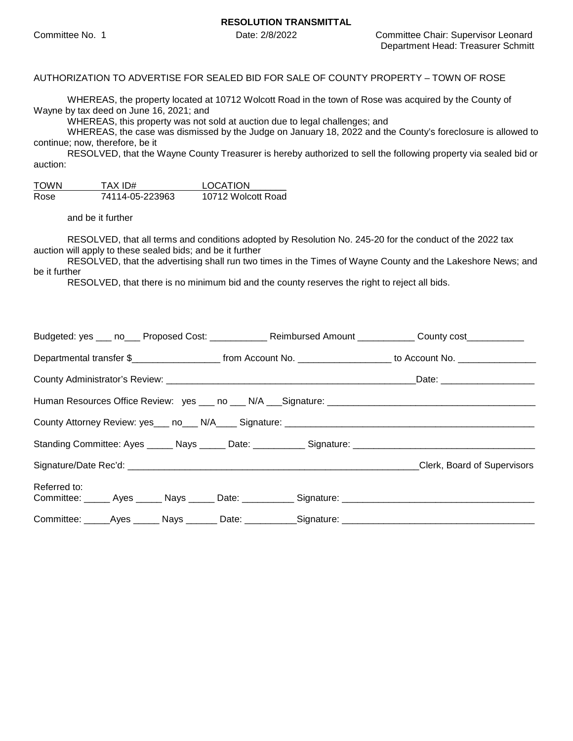AUTHORIZATION TO ADVERTISE FOR SEALED BID FOR SALE OF COUNTY PROPERTY – TOWN OF ROSE

WHEREAS, the property located at 10712 Wolcott Road in the town of Rose was acquired by the County of Wayne by tax deed on June 16, 2021; and

WHEREAS, this property was not sold at auction due to legal challenges; and

WHEREAS, the case was dismissed by the Judge on January 18, 2022 and the County's foreclosure is allowed to continue; now, therefore, be it

RESOLVED, that the Wayne County Treasurer is hereby authorized to sell the following property via sealed bid or auction:

| <b>TOWN</b> | TAX ID#         | <b>LOCATION</b>    |
|-------------|-----------------|--------------------|
| Rose        | 74114-05-223963 | 10712 Wolcott Road |

and be it further

RESOLVED, that all terms and conditions adopted by Resolution No. 245-20 for the conduct of the 2022 tax auction will apply to these sealed bids; and be it further

RESOLVED, that the advertising shall run two times in the Times of Wayne County and the Lakeshore News; and be it further

RESOLVED, that there is no minimum bid and the county reserves the right to reject all bids.

| Budgeted: yes ___ no___ Proposed Cost: ____________ Reimbursed Amount ___________ County cost ___________            |  |                                                                                                                                         |
|----------------------------------------------------------------------------------------------------------------------|--|-----------------------------------------------------------------------------------------------------------------------------------------|
|                                                                                                                      |  | Departmental transfer \$___________________________ from Account No. ______________________ to Account No. ____________________________ |
|                                                                                                                      |  |                                                                                                                                         |
|                                                                                                                      |  |                                                                                                                                         |
|                                                                                                                      |  |                                                                                                                                         |
|                                                                                                                      |  |                                                                                                                                         |
|                                                                                                                      |  | Clerk, Board of Supervisors                                                                                                             |
| Referred to:<br>Committee: ______ Ayes ______ Nays ______ Date: ___________ Signature: _____________________________ |  |                                                                                                                                         |
| Committee: ______Ayes _______ Nays ________ Date: ___________Signature: ____________________________                 |  |                                                                                                                                         |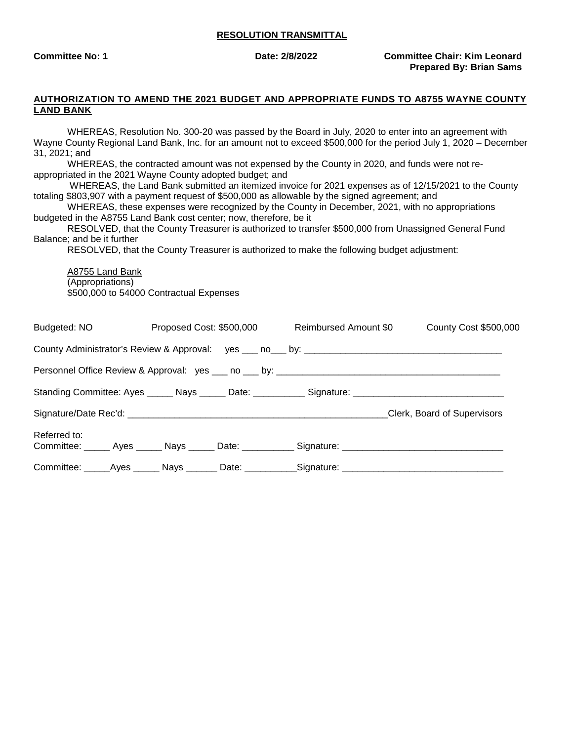**Committee No: 1 Committee No: 1** Date: 2/8/2022 Committee Chair: Kim Leonard **Prepared By: Brian Sams**

#### **AUTHORIZATION TO AMEND THE 2021 BUDGET AND APPROPRIATE FUNDS TO A8755 WAYNE COUNTY LAND BANK**

WHEREAS, Resolution No. 300-20 was passed by the Board in July, 2020 to enter into an agreement with Wayne County Regional Land Bank, Inc. for an amount not to exceed \$500,000 for the period July 1, 2020 – December 31, 2021; and

WHEREAS, the contracted amount was not expensed by the County in 2020, and funds were not reappropriated in the 2021 Wayne County adopted budget; and

 WHEREAS, the Land Bank submitted an itemized invoice for 2021 expenses as of 12/15/2021 to the County totaling \$803,907 with a payment request of \$500,000 as allowable by the signed agreement; and

WHEREAS, these expenses were recognized by the County in December, 2021, with no appropriations budgeted in the A8755 Land Bank cost center; now, therefore, be it

RESOLVED, that the County Treasurer is authorized to transfer \$500,000 from Unassigned General Fund Balance; and be it further

RESOLVED, that the County Treasurer is authorized to make the following budget adjustment:

A8755 Land Bank (Appropriations) \$500,000 to 54000 Contractual Expenses

| Budgeted: NO | Proposed Cost: \$500,000 | Reimbursed Amount \$0                                                                                | County Cost \$500,000       |
|--------------|--------------------------|------------------------------------------------------------------------------------------------------|-----------------------------|
|              |                          |                                                                                                      |                             |
|              |                          |                                                                                                      |                             |
|              |                          | Standing Committee: Ayes ______ Nays ______ Date: ___________ Signature: ___________________________ |                             |
|              |                          |                                                                                                      | Clerk, Board of Supervisors |
| Referred to: |                          | Committee: ______ Ayes ______ Nays ______ Date: ___________ Signature: _____________________________ |                             |
|              |                          | Committee: ______Ayes _______ Nays ________ Date: ___________Signature: ____________________________ |                             |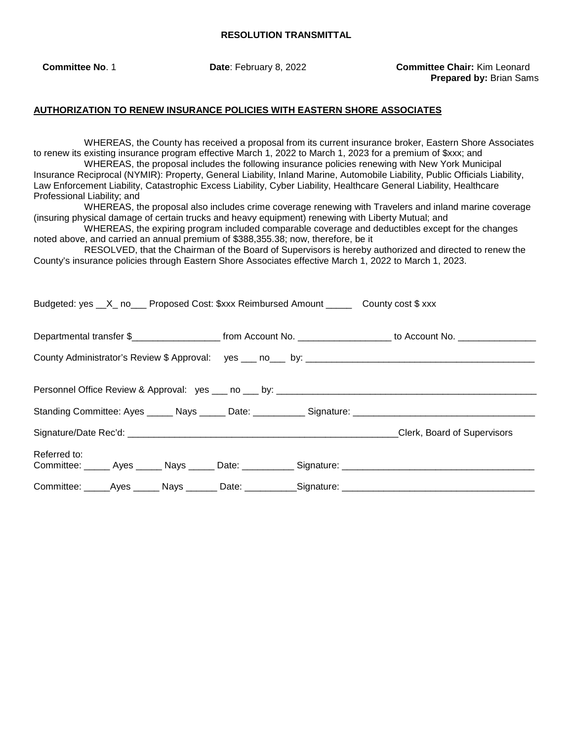**Committee No**. 1 **Date**: February 8, 2022 **Committee Chair:** Kim Leonard **Prepared by:** Brian Sams

### **AUTHORIZATION TO RENEW INSURANCE POLICIES WITH EASTERN SHORE ASSOCIATES**

Budgeted:  $y_0$   $\alpha$   $\beta$  no  $\beta$  Proposed Cost: \$xxx Reimbursed Amount  $\beta$  County cost \$ xxx

WHEREAS, the County has received a proposal from its current insurance broker, Eastern Shore Associates to renew its existing insurance program effective March 1, 2022 to March 1, 2023 for a premium of \$xxx; and WHEREAS, the proposal includes the following insurance policies renewing with New York Municipal

Insurance Reciprocal (NYMIR): Property, General Liability, Inland Marine, Automobile Liability, Public Officials Liability, Law Enforcement Liability, Catastrophic Excess Liability, Cyber Liability, Healthcare General Liability, Healthcare Professional Liability; and

 WHEREAS, the proposal also includes crime coverage renewing with Travelers and inland marine coverage (insuring physical damage of certain trucks and heavy equipment) renewing with Liberty Mutual; and

WHEREAS, the expiring program included comparable coverage and deductibles except for the changes noted above, and carried an annual premium of \$388,355.38; now, therefore, be it

 RESOLVED, that the Chairman of the Board of Supervisors is hereby authorized and directed to renew the County's insurance policies through Eastern Shore Associates effective March 1, 2022 to March 1, 2023.

| Departmental transfer \$________________________ from Account No. ____________________ to Account No. _______________ |  |  |                             |
|-----------------------------------------------------------------------------------------------------------------------|--|--|-----------------------------|
|                                                                                                                       |  |  |                             |
|                                                                                                                       |  |  |                             |
| Standing Committee: Ayes ______ Nays ______ Date: ___________ Signature: ___________________________                  |  |  |                             |
|                                                                                                                       |  |  | Clerk, Board of Supervisors |
| Referred to:<br>Committee: ______ Ayes ______ Nays ______ Date: ___________ Signature: _____________________________  |  |  |                             |
| Committee: _____Ayes ______ Nays _______ Date: ___________Signature: _______________________________                  |  |  |                             |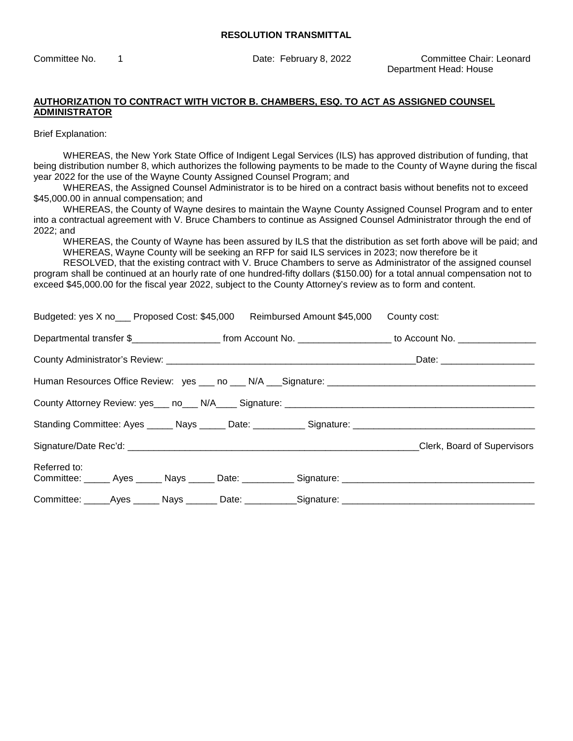Committee No. 1 Date: February 8, 2022 Committee Chair: Leonard Department Head: House

## **AUTHORIZATION TO CONTRACT WITH VICTOR B. CHAMBERS, ESQ. TO ACT AS ASSIGNED COUNSEL ADMINISTRATOR**

Brief Explanation:

WHEREAS, the New York State Office of Indigent Legal Services (ILS) has approved distribution of funding, that being distribution number 8, which authorizes the following payments to be made to the County of Wayne during the fiscal year 2022 for the use of the Wayne County Assigned Counsel Program; and

WHEREAS, the Assigned Counsel Administrator is to be hired on a contract basis without benefits not to exceed \$45,000.00 in annual compensation; and

WHEREAS, the County of Wayne desires to maintain the Wayne County Assigned Counsel Program and to enter into a contractual agreement with V. Bruce Chambers to continue as Assigned Counsel Administrator through the end of 2022; and

WHEREAS, the County of Wayne has been assured by ILS that the distribution as set forth above will be paid; and WHEREAS, Wayne County will be seeking an RFP for said ILS services in 2023; now therefore be it

RESOLVED, that the existing contract with V. Bruce Chambers to serve as Administrator of the assigned counsel program shall be continued at an hourly rate of one hundred-fifty dollars (\$150.00) for a total annual compensation not to exceed \$45,000.00 for the fiscal year 2022, subject to the County Attorney's review as to form and content.

| Budgeted: yes X no___ Proposed Cost: \$45,000 Reimbursed Amount \$45,000 County cost:                                                   |                             |
|-----------------------------------------------------------------------------------------------------------------------------------------|-----------------------------|
| Departmental transfer \$________________________________from Account No. ____________________________ to Account No. __________________ |                             |
|                                                                                                                                         |                             |
|                                                                                                                                         |                             |
|                                                                                                                                         |                             |
|                                                                                                                                         |                             |
|                                                                                                                                         | Clerk, Board of Supervisors |
| Referred to:                                                                                                                            |                             |
|                                                                                                                                         |                             |